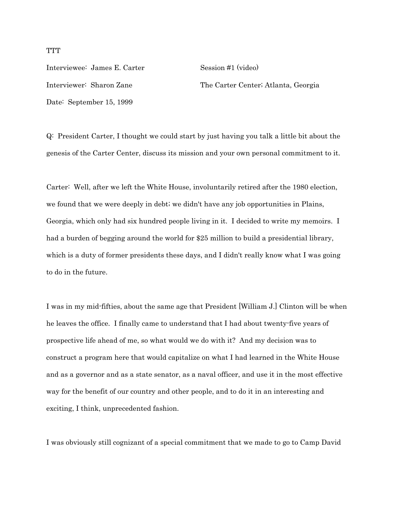Interviewee: James E. Carter Session #1 (video) Date: September 15, 1999

Interviewer: Sharon Zane The Carter Center; Atlanta, Georgia

Q: President Carter, I thought we could start by just having you talk a little bit about the genesis of the Carter Center, discuss its mission and your own personal commitment to it.

Carter: Well, after we left the White House, involuntarily retired after the 1980 election, we found that we were deeply in debt; we didn't have any job opportunities in Plains, Georgia, which only had six hundred people living in it. I decided to write my memoirs. I had a burden of begging around the world for \$25 million to build a presidential library, which is a duty of former presidents these days, and I didn't really know what I was going to do in the future.

I was in my mid-fifties, about the same age that President [William J.] Clinton will be when he leaves the office. I finally came to understand that I had about twenty-five years of prospective life ahead of me, so what would we do with it? And my decision was to construct a program here that would capitalize on what I had learned in the White House and as a governor and as a state senator, as a naval officer, and use it in the most effective way for the benefit of our country and other people, and to do it in an interesting and exciting, I think, unprecedented fashion.

I was obviously still cognizant of a special commitment that we made to go to Camp David

## **TTT**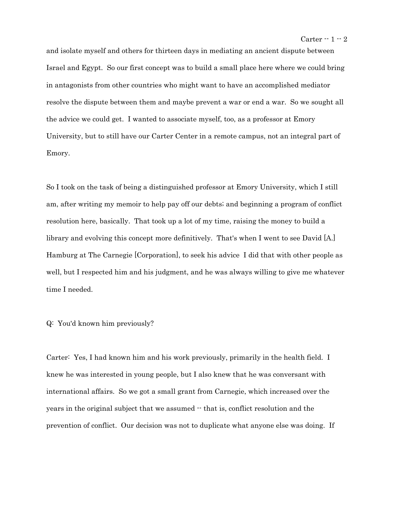and isolate myself and others for thirteen days in mediating an ancient dispute between Israel and Egypt. So our first concept was to build a small place here where we could bring in antagonists from other countries who might want to have an accomplished mediator resolve the dispute between them and maybe prevent a war or end a war. So we sought all the advice we could get. I wanted to associate myself, too, as a professor at Emory University, but to still have our Carter Center in a remote campus, not an integral part of Emory.

So I took on the task of being a distinguished professor at Emory University, which I still am, after writing my memoir to help pay off our debts; and beginning a program of conflict resolution here, basically. That took up a lot of my time, raising the money to build a library and evolving this concept more definitively. That's when I went to see David [A.] Hamburg at The Carnegie [Corporation], to seek his advice I did that with other people as well, but I respected him and his judgment, and he was always willing to give me whatever time I needed.

### Q: You'd known him previously?

Carter: Yes, I had known him and his work previously, primarily in the health field. I knew he was interested in young people, but I also knew that he was conversant with international affairs. So we got a small grant from Carnegie, which increased over the years in the original subject that we assumed  $\cdot$  that is, conflict resolution and the prevention of conflict. Our decision was not to duplicate what anyone else was doing. If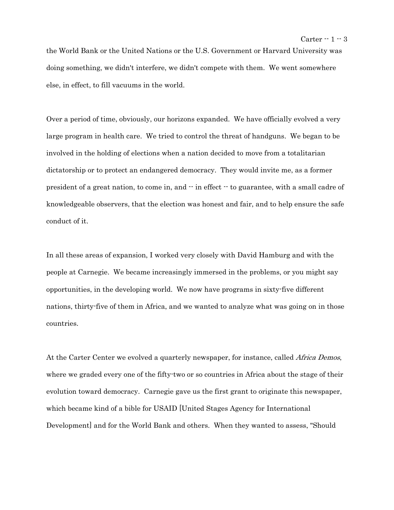the World Bank or the United Nations or the U.S. Government or Harvard University was doing something, we didn't interfere, we didn't compete with them. We went somewhere else, in effect, to fill vacuums in the world.

Over a period of time, obviously, our horizons expanded. We have officially evolved a very large program in health care. We tried to control the threat of handguns. We began to be involved in the holding of elections when a nation decided to move from a totalitarian dictatorship or to protect an endangered democracy. They would invite me, as a former president of a great nation, to come in, and  $-$  in effect  $-$  to guarantee, with a small cadre of knowledgeable observers, that the election was honest and fair, and to help ensure the safe conduct of it.

In all these areas of expansion, I worked very closely with David Hamburg and with the people at Carnegie. We became increasingly immersed in the problems, or you might say opportunities, in the developing world. We now have programs in sixty-five different nations, thirty-five of them in Africa, and we wanted to analyze what was going on in those countries.

At the Carter Center we evolved a quarterly newspaper, for instance, called *Africa Demos*, where we graded every one of the fifty-two or so countries in Africa about the stage of their evolution toward democracy. Carnegie gave us the first grant to originate this newspaper, which became kind of a bible for USAID [United Stages Agency for International Development] and for the World Bank and others. When they wanted to assess, "Should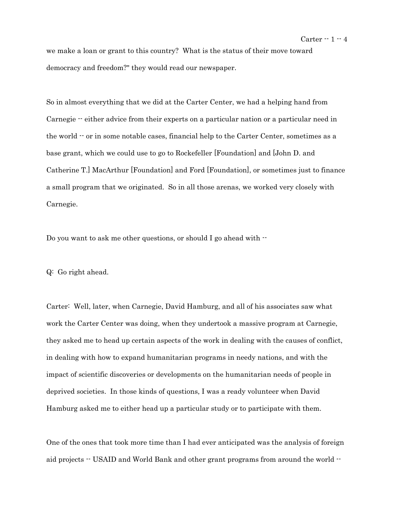we make a loan or grant to this country? What is the status of their move toward democracy and freedom?" they would read our newspaper.

So in almost everything that we did at the Carter Center, we had a helping hand from Carnegie  $\cdot\cdot$  either advice from their experts on a particular nation or a particular need in the world  $\cdot$  or in some notable cases, financial help to the Carter Center, sometimes as a base grant, which we could use to go to Rockefeller [Foundation] and [John D. and Catherine T.] MacArthur [Foundation] and Ford [Foundation], or sometimes just to finance a small program that we originated. So in all those arenas, we worked very closely with Carnegie.

Do you want to ask me other questions, or should I go ahead with  $\cdot$ 

Q: Go right ahead.

Carter: Well, later, when Carnegie, David Hamburg, and all of his associates saw what work the Carter Center was doing, when they undertook a massive program at Carnegie, they asked me to head up certain aspects of the work in dealing with the causes of conflict, in dealing with how to expand humanitarian programs in needy nations, and with the impact of scientific discoveries or developments on the humanitarian needs of people in deprived societies. In those kinds of questions, I was a ready volunteer when David Hamburg asked me to either head up a particular study or to participate with them.

One of the ones that took more time than I had ever anticipated was the analysis of foreign aid projects  $\cdot$  USAID and World Bank and other grant programs from around the world  $\cdot$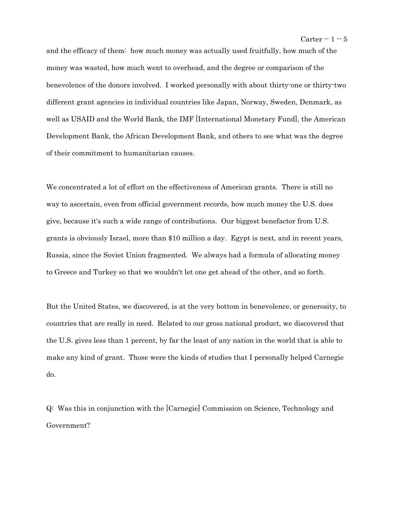and the efficacy of them: how much money was actually used fruitfully, how much of the money was wasted, how much went to overhead, and the degree or comparison of the benevolence of the donors involved. I worked personally with about thirty-one or thirty-two different grant agencies in individual countries like Japan, Norway, Sweden, Denmark, as well as USAID and the World Bank, the IMF [International Monetary Fund], the American Development Bank, the African Development Bank, and others to see what was the degree of their commitment to humanitarian causes.

We concentrated a lot of effort on the effectiveness of American grants. There is still no way to ascertain, even from official government records, how much money the U.S. does give, because it's such a wide range of contributions. Our biggest benefactor from U.S. grants is obviously Israel, more than \$10 million a day. Egypt is next, and in recent years, Russia, since the Soviet Union fragmented. We always had a formula of allocating money to Greece and Turkey so that we wouldn't let one get ahead of the other, and so forth.

But the United States, we discovered, is at the very bottom in benevolence, or generosity, to countries that are really in need. Related to our gross national product, we discovered that the U.S. gives less than 1 percent, by far the least of any nation in the world that is able to make any kind of grant. Those were the kinds of studies that I personally helped Carnegie do.

Q: Was this in conjunction with the [Carnegie] Commission on Science, Technology and Government?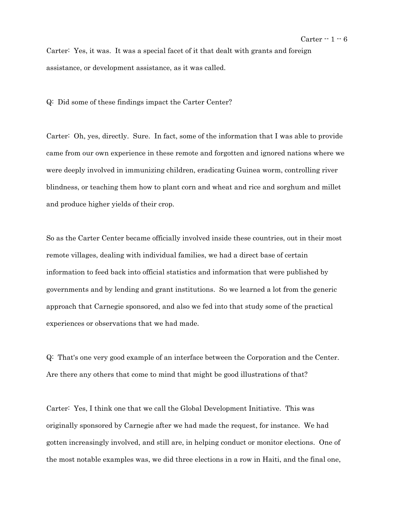Carter: Yes, it was. It was a special facet of it that dealt with grants and foreign assistance, or development assistance, as it was called.

Q: Did some of these findings impact the Carter Center?

Carter: Oh, yes, directly. Sure. In fact, some of the information that I was able to provide came from our own experience in these remote and forgotten and ignored nations where we were deeply involved in immunizing children, eradicating Guinea worm, controlling river blindness, or teaching them how to plant corn and wheat and rice and sorghum and millet and produce higher yields of their crop.

So as the Carter Center became officially involved inside these countries, out in their most remote villages, dealing with individual families, we had a direct base of certain information to feed back into official statistics and information that were published by governments and by lending and grant institutions. So we learned a lot from the generic approach that Carnegie sponsored, and also we fed into that study some of the practical experiences or observations that we had made.

Q: That's one very good example of an interface between the Corporation and the Center. Are there any others that come to mind that might be good illustrations of that?

Carter: Yes, I think one that we call the Global Development Initiative. This was originally sponsored by Carnegie after we had made the request, for instance. We had gotten increasingly involved, and still are, in helping conduct or monitor elections. One of the most notable examples was, we did three elections in a row in Haiti, and the final one,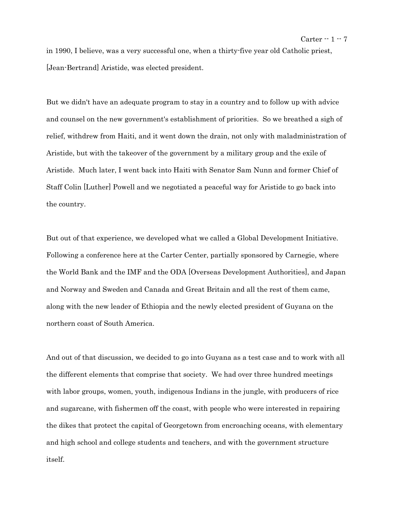in 1990, I believe, was a very successful one, when a thirty-five year old Catholic priest, [Jean-Bertrand] Aristide, was elected president.

But we didn't have an adequate program to stay in a country and to follow up with advice and counsel on the new government's establishment of priorities. So we breathed a sigh of relief, withdrew from Haiti, and it went down the drain, not only with maladministration of Aristide, but with the takeover of the government by a military group and the exile of Aristide. Much later, I went back into Haiti with Senator Sam Nunn and former Chief of Staff Colin [Luther] Powell and we negotiated a peaceful way for Aristide to go back into the country.

But out of that experience, we developed what we called a Global Development Initiative. Following a conference here at the Carter Center, partially sponsored by Carnegie, where the World Bank and the IMF and the ODA [Overseas Development Authorities], and Japan and Norway and Sweden and Canada and Great Britain and all the rest of them came, along with the new leader of Ethiopia and the newly elected president of Guyana on the northern coast of South America.

And out of that discussion, we decided to go into Guyana as a test case and to work with all the different elements that comprise that society. We had over three hundred meetings with labor groups, women, youth, indigenous Indians in the jungle, with producers of rice and sugarcane, with fishermen off the coast, with people who were interested in repairing the dikes that protect the capital of Georgetown from encroaching oceans, with elementary and high school and college students and teachers, and with the government structure itself.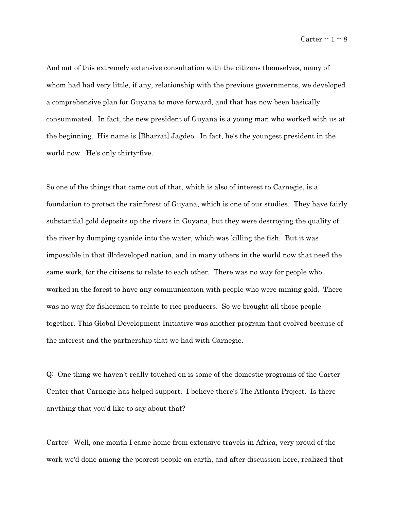Carter  $-1-8$ 

And out of this extremely extensive consultation with the citizens themselves, many of whom had had very little, if any, relationship with the previous governments, we developed a comprehensive plan for Guyana to move forward, and that has now been basically consummated. In fact, the new president of Guyana is a young man who worked with us at the beginning. His name is [Bharrat] Jagdeo. In fact, he's the youngest president in the world now. He's only thirty-five.

So one of the things that came out of that, which is also of interest to Carnegie, is a foundation to protect the rainforest of Guyana, which is one of our studies. They have fairly substantial gold deposits up the rivers in Guyana, but they were destroying the quality of the river by dumping cyanide into the water, which was killing the fish. But it was impossible in that ill-developed nation, and in many others in the world now that need the same work, for the citizens to relate to each other. There was no way for people who worked in the forest to have any communication with people who were mining gold. There was no way for fishermen to relate to rice producers. So we brought all those people together. This Global Development Initiative was another program that evolved because of the interest and the partnership that we had with Carnegie.

Q: One thing we haven't really touched on is some of the domestic programs of the Carter Center that Carnegie has helped support. I believe there's The Atlanta Project. Is there anything that you'd like to say about that?

Carter: Well, one month I came home from extensive travels in Africa, very proud of the work we'd done among the poorest people on earth, and after discussion here, realized that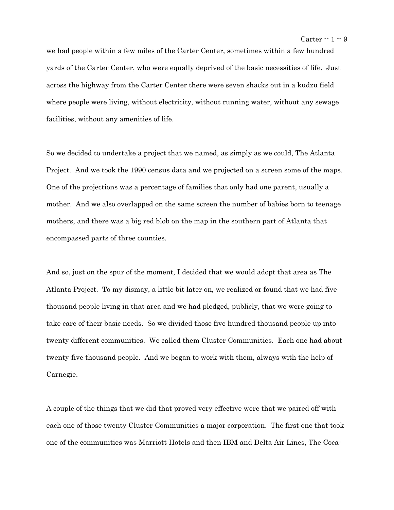we had people within a few miles of the Carter Center, sometimes within a few hundred yards of the Carter Center, who were equally deprived of the basic necessities of life. Just across the highway from the Carter Center there were seven shacks out in a kudzu field where people were living, without electricity, without running water, without any sewage facilities, without any amenities of life.

So we decided to undertake a project that we named, as simply as we could, The Atlanta Project. And we took the 1990 census data and we projected on a screen some of the maps. One of the projections was a percentage of families that only had one parent, usually a mother. And we also overlapped on the same screen the number of babies born to teenage mothers, and there was a big red blob on the map in the southern part of Atlanta that encompassed parts of three counties.

And so, just on the spur of the moment, I decided that we would adopt that area as The Atlanta Project. To my dismay, a little bit later on, we realized or found that we had five thousand people living in that area and we had pledged, publicly, that we were going to take care of their basic needs. So we divided those five hundred thousand people up into twenty different communities. We called them Cluster Communities. Each one had about twenty-five thousand people. And we began to work with them, always with the help of Carnegie.

A couple of the things that we did that proved very effective were that we paired off with each one of those twenty Cluster Communities a major corporation. The first one that took one of the communities was Marriott Hotels and then IBM and Delta Air Lines, The Coca-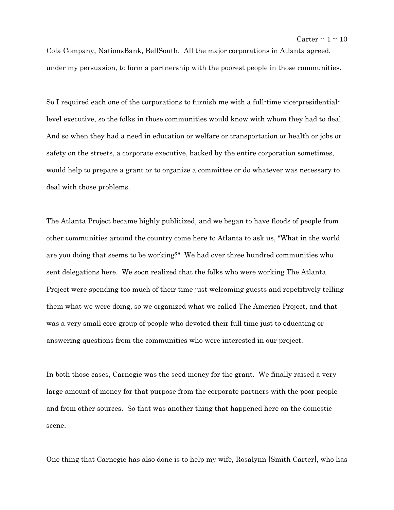Cola Company, NationsBank, BellSouth. All the major corporations in Atlanta agreed, under my persuasion, to form a partnership with the poorest people in those communities.

So I required each one of the corporations to furnish me with a full-time vice-presidentiallevel executive, so the folks in those communities would know with whom they had to deal. And so when they had a need in education or welfare or transportation or health or jobs or safety on the streets, a corporate executive, backed by the entire corporation sometimes, would help to prepare a grant or to organize a committee or do whatever was necessary to deal with those problems.

The Atlanta Project became highly publicized, and we began to have floods of people from other communities around the country come here to Atlanta to ask us, "What in the world are you doing that seems to be working?" We had over three hundred communities who sent delegations here. We soon realized that the folks who were working The Atlanta Project were spending too much of their time just welcoming guests and repetitively telling them what we were doing, so we organized what we called The America Project, and that was a very small core group of people who devoted their full time just to educating or answering questions from the communities who were interested in our project.

In both those cases, Carnegie was the seed money for the grant. We finally raised a very large amount of money for that purpose from the corporate partners with the poor people and from other sources. So that was another thing that happened here on the domestic scene.

One thing that Carnegie has also done is to help my wife, Rosalynn [Smith Carter], who has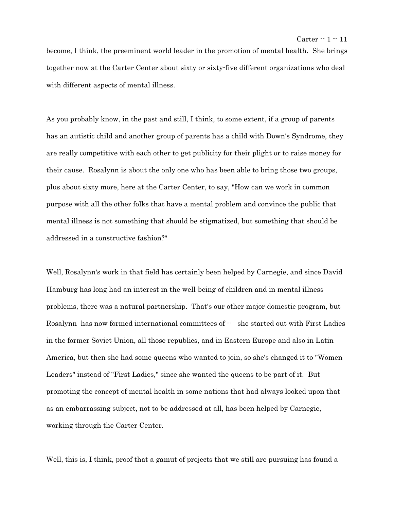become, I think, the preeminent world leader in the promotion of mental health. She brings together now at the Carter Center about sixty or sixty-five different organizations who deal with different aspects of mental illness.

As you probably know, in the past and still, I think, to some extent, if a group of parents has an autistic child and another group of parents has a child with Down's Syndrome, they are really competitive with each other to get publicity for their plight or to raise money for their cause. Rosalynn is about the only one who has been able to bring those two groups, plus about sixty more, here at the Carter Center, to say, "How can we work in common purpose with all the other folks that have a mental problem and convince the public that mental illness is not something that should be stigmatized, but something that should be addressed in a constructive fashion?"

Well, Rosalynn's work in that field has certainly been helped by Carnegie, and since David Hamburg has long had an interest in the well-being of children and in mental illness problems, there was a natural partnership. That's our other major domestic program, but Rosalynn has now formed international committees of  $-$  she started out with First Ladies in the former Soviet Union, all those republics, and in Eastern Europe and also in Latin America, but then she had some queens who wanted to join, so she's changed it to "Women Leaders" instead of "First Ladies," since she wanted the queens to be part of it. But promoting the concept of mental health in some nations that had always looked upon that as an embarrassing subject, not to be addressed at all, has been helped by Carnegie, working through the Carter Center.

Well, this is, I think, proof that a gamut of projects that we still are pursuing has found a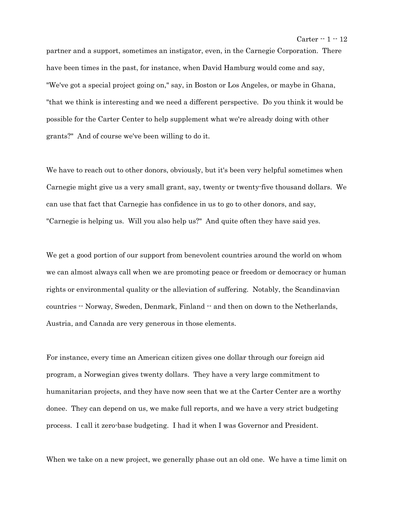partner and a support, sometimes an instigator, even, in the Carnegie Corporation. There have been times in the past, for instance, when David Hamburg would come and say, "We've got a special project going on," say, in Boston or Los Angeles, or maybe in Ghana, "that we think is interesting and we need a different perspective. Do you think it would be possible for the Carter Center to help supplement what we're already doing with other grants?" And of course we've been willing to do it.

We have to reach out to other donors, obviously, but it's been very helpful sometimes when Carnegie might give us a very small grant, say, twenty or twenty-five thousand dollars. We can use that fact that Carnegie has confidence in us to go to other donors, and say, "Carnegie is helping us. Will you also help us?" And quite often they have said yes.

We get a good portion of our support from benevolent countries around the world on whom we can almost always call when we are promoting peace or freedom or democracy or human rights or environmental quality or the alleviation of suffering. Notably, the Scandinavian countries  $-$  Norway, Sweden, Denmark, Finland  $-$  and then on down to the Netherlands, Austria, and Canada are very generous in those elements.

For instance, every time an American citizen gives one dollar through our foreign aid program, a Norwegian gives twenty dollars. They have a very large commitment to humanitarian projects, and they have now seen that we at the Carter Center are a worthy donee. They can depend on us, we make full reports, and we have a very strict budgeting process. I call it zero-base budgeting. I had it when I was Governor and President.

When we take on a new project, we generally phase out an old one. We have a time limit on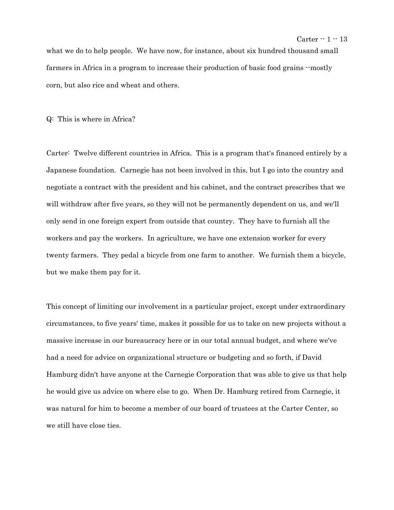### Carter  $-1 - 13$

what we do to help people. We have now, for instance, about six hundred thousand small farmers in Africa in a program to increase their production of basic food grains  $\cdot$  mostly corn, but also rice and wheat and others.

#### Q: This is where in Africa?

Carter: Twelve different countries in Africa. This is a program that's financed entirely by a Japanese foundation. Carnegie has not been involved in this, but I go into the country and negotiate a contract with the president and his cabinet, and the contract prescribes that we will withdraw after five years, so they will not be permanently dependent on us, and we'll only send in one foreign expert from outside that country. They have to furnish all the workers and pay the workers. In agriculture, we have one extension worker for every twenty farmers. They pedal a bicycle from one farm to another. We furnish them a bicycle, but we make them pay for it.

This concept of limiting our involvement in a particular project, except under extraordinary circumstances, to five years' time, makes it possible for us to take on new projects without a massive increase in our bureaucracy here or in our total annual budget, and where we've had a need for advice on organizational structure or budgeting and so forth, if David Hamburg didn't have anyone at the Carnegie Corporation that was able to give us that help he would give us advice on where else to go. When Dr. Hamburg retired from Carnegie, it was natural for him to become a member of our board of trustees at the Carter Center, so we still have close ties.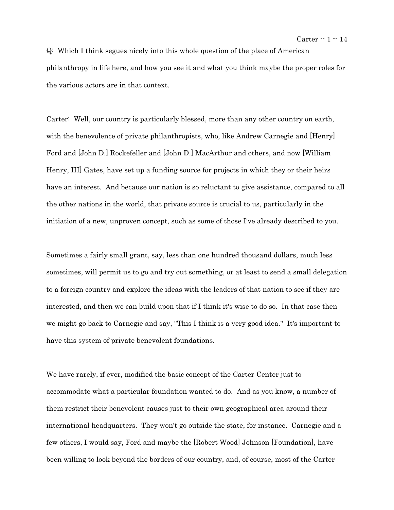Q: Which I think segues nicely into this whole question of the place of American philanthropy in life here, and how you see it and what you think maybe the proper roles for the various actors are in that context.

Carter: Well, our country is particularly blessed, more than any other country on earth, with the benevolence of private philanthropists, who, like Andrew Carnegie and [Henry] Ford and [John D.] Rockefeller and [John D.] MacArthur and others, and now [William Henry, III] Gates, have set up a funding source for projects in which they or their heirs have an interest. And because our nation is so reluctant to give assistance, compared to all the other nations in the world, that private source is crucial to us, particularly in the initiation of a new, unproven concept, such as some of those I've already described to you.

Sometimes a fairly small grant, say, less than one hundred thousand dollars, much less sometimes, will permit us to go and try out something, or at least to send a small delegation to a foreign country and explore the ideas with the leaders of that nation to see if they are interested, and then we can build upon that if I think it's wise to do so. In that case then we might go back to Carnegie and say, "This I think is a very good idea." It's important to have this system of private benevolent foundations.

We have rarely, if ever, modified the basic concept of the Carter Center just to accommodate what a particular foundation wanted to do. And as you know, a number of them restrict their benevolent causes just to their own geographical area around their international headquarters. They won't go outside the state, for instance. Carnegie and a few others, I would say, Ford and maybe the [Robert Wood] Johnson [Foundation], have been willing to look beyond the borders of our country, and, of course, most of the Carter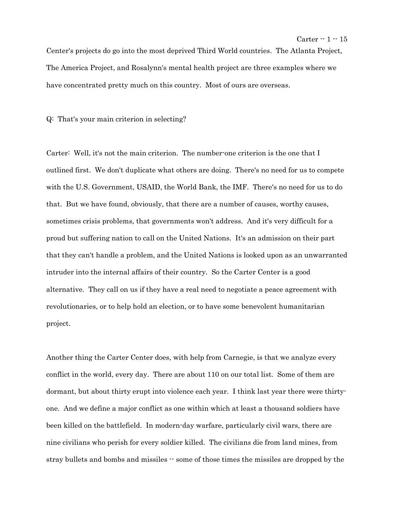Center's projects do go into the most deprived Third World countries. The Atlanta Project, The America Project, and Rosalynn's mental health project are three examples where we have concentrated pretty much on this country. Most of ours are overseas.

Q: That's your main criterion in selecting?

Carter: Well, it's not the main criterion. The number-one criterion is the one that I outlined first. We don't duplicate what others are doing. There's no need for us to compete with the U.S. Government, USAID, the World Bank, the IMF. There's no need for us to do that. But we have found, obviously, that there are a number of causes, worthy causes, sometimes crisis problems, that governments won't address. And it's very difficult for a proud but suffering nation to call on the United Nations. It's an admission on their part that they can't handle a problem, and the United Nations is looked upon as an unwarranted intruder into the internal affairs of their country. So the Carter Center is a good alternative. They call on us if they have a real need to negotiate a peace agreement with revolutionaries, or to help hold an election, or to have some benevolent humanitarian project.

Another thing the Carter Center does, with help from Carnegie, is that we analyze every conflict in the world, every day. There are about 110 on our total list. Some of them are dormant, but about thirty erupt into violence each year. I think last year there were thirtyone. And we define a major conflict as one within which at least a thousand soldiers have been killed on the battlefield. In modern-day warfare, particularly civil wars, there are nine civilians who perish for every soldier killed. The civilians die from land mines, from stray bullets and bombs and missiles -- some of those times the missiles are dropped by the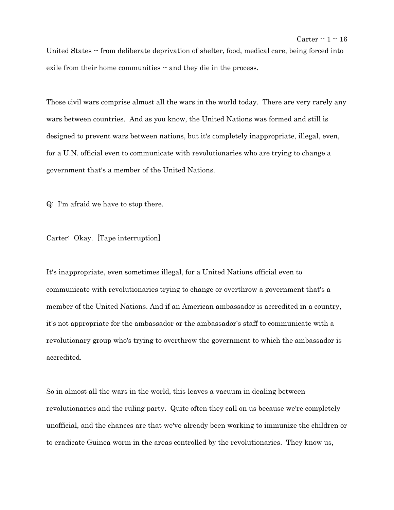United States -- from deliberate deprivation of shelter, food, medical care, being forced into exile from their home communities  $-$  and they die in the process.

Those civil wars comprise almost all the wars in the world today. There are very rarely any wars between countries. And as you know, the United Nations was formed and still is designed to prevent wars between nations, but it's completely inappropriate, illegal, even, for a U.N. official even to communicate with revolutionaries who are trying to change a government that's a member of the United Nations.

Q: I'm afraid we have to stop there.

Carter: Okay. [Tape interruption]

It's inappropriate, even sometimes illegal, for a United Nations official even to communicate with revolutionaries trying to change or overthrow a government that's a member of the United Nations. And if an American ambassador is accredited in a country, it's not appropriate for the ambassador or the ambassador's staff to communicate with a revolutionary group who's trying to overthrow the government to which the ambassador is accredited.

So in almost all the wars in the world, this leaves a vacuum in dealing between revolutionaries and the ruling party. Quite often they call on us because we're completely unofficial, and the chances are that we've already been working to immunize the children or to eradicate Guinea worm in the areas controlled by the revolutionaries. They know us,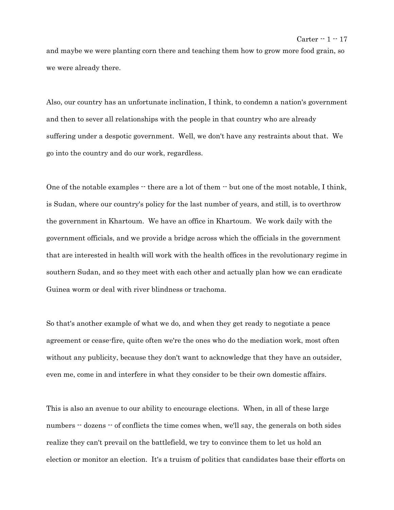and maybe we were planting corn there and teaching them how to grow more food grain, so we were already there.

Also, our country has an unfortunate inclination, I think, to condemn a nation's government and then to sever all relationships with the people in that country who are already suffering under a despotic government. Well, we don't have any restraints about that. We go into the country and do our work, regardless.

One of the notable examples  $\cdot\cdot$  there are a lot of them  $\cdot\cdot$  but one of the most notable, I think, is Sudan, where our country's policy for the last number of years, and still, is to overthrow the government in Khartoum. We have an office in Khartoum. We work daily with the government officials, and we provide a bridge across which the officials in the government that are interested in health will work with the health offices in the revolutionary regime in southern Sudan, and so they meet with each other and actually plan how we can eradicate Guinea worm or deal with river blindness or trachoma.

So that's another example of what we do, and when they get ready to negotiate a peace agreement or cease-fire, quite often we're the ones who do the mediation work, most often without any publicity, because they don't want to acknowledge that they have an outsider, even me, come in and interfere in what they consider to be their own domestic affairs.

This is also an avenue to our ability to encourage elections. When, in all of these large numbers -- dozens -- of conflicts the time comes when, we'll say, the generals on both sides realize they can't prevail on the battlefield, we try to convince them to let us hold an election or monitor an election. It's a truism of politics that candidates base their efforts on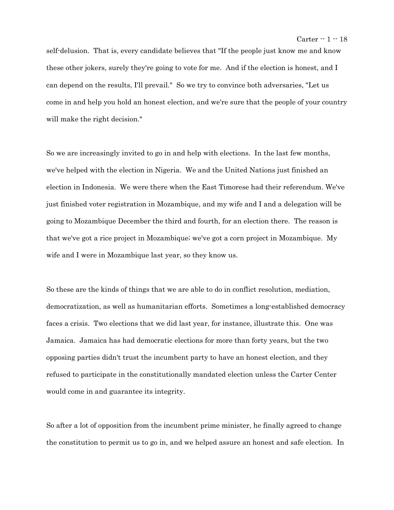self-delusion. That is, every candidate believes that "If the people just know me and know these other jokers, surely they're going to vote for me. And if the election is honest, and I can depend on the results, I'll prevail." So we try to convince both adversaries, "Let us come in and help you hold an honest election, and we're sure that the people of your country will make the right decision."

So we are increasingly invited to go in and help with elections. In the last few months, we've helped with the election in Nigeria. We and the United Nations just finished an election in Indonesia. We were there when the East Timorese had their referendum. We've just finished voter registration in Mozambique, and my wife and I and a delegation will be going to Mozambique December the third and fourth, for an election there. The reason is that we've got a rice project in Mozambique; we've got a corn project in Mozambique. My wife and I were in Mozambique last year, so they know us.

So these are the kinds of things that we are able to do in conflict resolution, mediation, democratization, as well as humanitarian efforts. Sometimes a long-established democracy faces a crisis. Two elections that we did last year, for instance, illustrate this. One was Jamaica. Jamaica has had democratic elections for more than forty years, but the two opposing parties didn't trust the incumbent party to have an honest election, and they refused to participate in the constitutionally mandated election unless the Carter Center would come in and guarantee its integrity.

So after a lot of opposition from the incumbent prime minister, he finally agreed to change the constitution to permit us to go in, and we helped assure an honest and safe election. In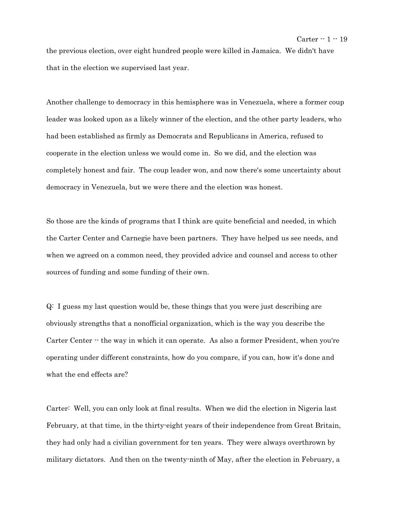the previous election, over eight hundred people were killed in Jamaica. We didn't have that in the election we supervised last year.

Another challenge to democracy in this hemisphere was in Venezuela, where a former coup leader was looked upon as a likely winner of the election, and the other party leaders, who had been established as firmly as Democrats and Republicans in America, refused to cooperate in the election unless we would come in. So we did, and the election was completely honest and fair. The coup leader won, and now there's some uncertainty about democracy in Venezuela, but we were there and the election was honest.

So those are the kinds of programs that I think are quite beneficial and needed, in which the Carter Center and Carnegie have been partners. They have helped us see needs, and when we agreed on a common need, they provided advice and counsel and access to other sources of funding and some funding of their own.

Q: I guess my last question would be, these things that you were just describing are obviously strengths that a nonofficial organization, which is the way you describe the Carter Center  $\cdot$  the way in which it can operate. As also a former President, when you're operating under different constraints, how do you compare, if you can, how it's done and what the end effects are?

Carter: Well, you can only look at final results. When we did the election in Nigeria last February, at that time, in the thirty-eight years of their independence from Great Britain, they had only had a civilian government for ten years. They were always overthrown by military dictators. And then on the twenty-ninth of May, after the election in February, a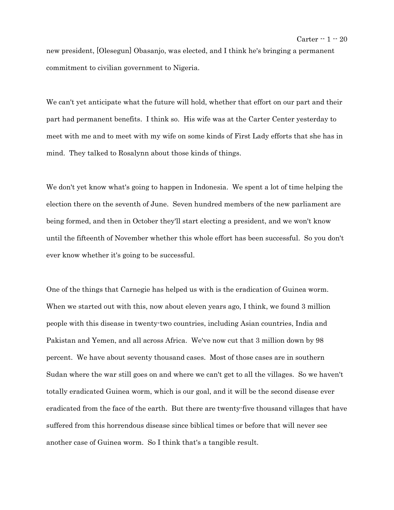new president, [Olesegun] Obasanjo, was elected, and I think he's bringing a permanent commitment to civilian government to Nigeria.

We can't yet anticipate what the future will hold, whether that effort on our part and their part had permanent benefits. I think so. His wife was at the Carter Center yesterday to meet with me and to meet with my wife on some kinds of First Lady efforts that she has in mind. They talked to Rosalynn about those kinds of things.

We don't yet know what's going to happen in Indonesia. We spent a lot of time helping the election there on the seventh of June. Seven hundred members of the new parliament are being formed, and then in October they'll start electing a president, and we won't know until the fifteenth of November whether this whole effort has been successful. So you don't ever know whether it's going to be successful.

One of the things that Carnegie has helped us with is the eradication of Guinea worm. When we started out with this, now about eleven years ago, I think, we found 3 million people with this disease in twenty-two countries, including Asian countries, India and Pakistan and Yemen, and all across Africa. We've now cut that 3 million down by 98 percent. We have about seventy thousand cases. Most of those cases are in southern Sudan where the war still goes on and where we can't get to all the villages. So we haven't totally eradicated Guinea worm, which is our goal, and it will be the second disease ever eradicated from the face of the earth. But there are twenty-five thousand villages that have suffered from this horrendous disease since biblical times or before that will never see another case of Guinea worm. So I think that's a tangible result.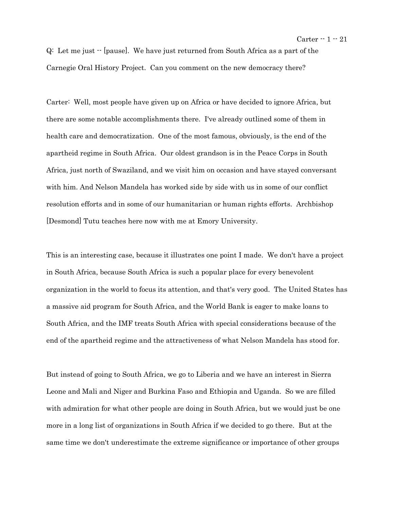Q: Let me just  $\cdot$  [pause]. We have just returned from South Africa as a part of the Carnegie Oral History Project. Can you comment on the new democracy there?

Carter: Well, most people have given up on Africa or have decided to ignore Africa, but there are some notable accomplishments there. I've already outlined some of them in health care and democratization. One of the most famous, obviously, is the end of the apartheid regime in South Africa. Our oldest grandson is in the Peace Corps in South Africa, just north of Swaziland, and we visit him on occasion and have stayed conversant with him. And Nelson Mandela has worked side by side with us in some of our conflict resolution efforts and in some of our humanitarian or human rights efforts. Archbishop [Desmond] Tutu teaches here now with me at Emory University.

This is an interesting case, because it illustrates one point I made. We don't have a project in South Africa, because South Africa is such a popular place for every benevolent organization in the world to focus its attention, and that's very good. The United States has a massive aid program for South Africa, and the World Bank is eager to make loans to South Africa, and the IMF treats South Africa with special considerations because of the end of the apartheid regime and the attractiveness of what Nelson Mandela has stood for.

But instead of going to South Africa, we go to Liberia and we have an interest in Sierra Leone and Mali and Niger and Burkina Faso and Ethiopia and Uganda. So we are filled with admiration for what other people are doing in South Africa, but we would just be one more in a long list of organizations in South Africa if we decided to go there. But at the same time we don't underestimate the extreme significance or importance of other groups